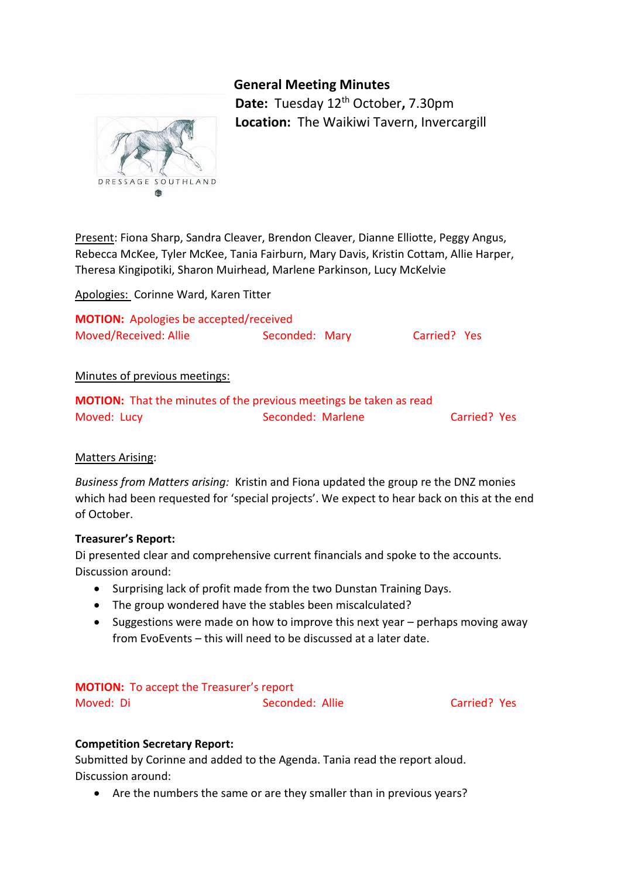# **General Meeting Minutes**



**Date:** Tuesday 12th October**,** 7.30pm **Location:** The Waikiwi Tavern, Invercargill

Present: Fiona Sharp, Sandra Cleaver, Brendon Cleaver, Dianne Elliotte, Peggy Angus, Rebecca McKee, Tyler McKee, Tania Fairburn, Mary Davis, Kristin Cottam, Allie Harper, Theresa Kingipotiki, Sharon Muirhead, Marlene Parkinson, Lucy McKelvie

Apologies: Corinne Ward, Karen Titter

| <b>MOTION:</b> Apologies be accepted/received |                |              |  |
|-----------------------------------------------|----------------|--------------|--|
| Moved/Received: Allie                         | Seconded: Mary | Carried? Yes |  |

# Minutes of previous meetings:

|             | <b>MOTION:</b> That the minutes of the previous meetings be taken as read |              |  |
|-------------|---------------------------------------------------------------------------|--------------|--|
| Moved: Lucy | Seconded: Marlene                                                         | Carried? Yes |  |

# Matters Arising:

*Business from Matters arising:* Kristin and Fiona updated the group re the DNZ monies which had been requested for 'special projects'. We expect to hear back on this at the end of October.

# **Treasurer's Report:**

Di presented clear and comprehensive current financials and spoke to the accounts. Discussion around:

- Surprising lack of profit made from the two Dunstan Training Days.
- The group wondered have the stables been miscalculated?
- Suggestions were made on how to improve this next year perhaps moving away from EvoEvents – this will need to be discussed at a later date.

# **MOTION:** To accept the Treasurer's report

Moved: Di Seconded: Allie Carried? Yes

# **Competition Secretary Report:**

Submitted by Corinne and added to the Agenda. Tania read the report aloud. Discussion around:

Are the numbers the same or are they smaller than in previous years?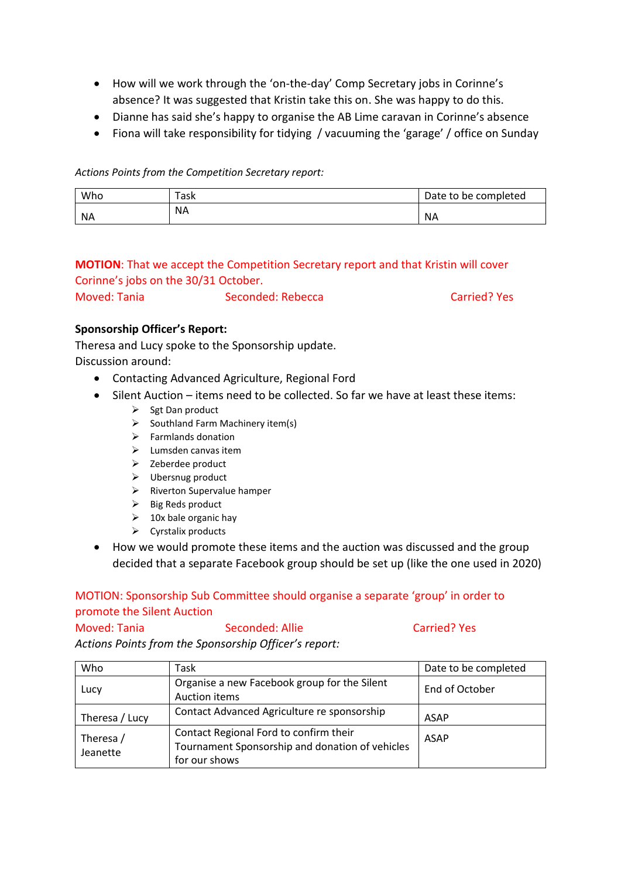- How will we work through the 'on-the-day' Comp Secretary jobs in Corinne's absence? It was suggested that Kristin take this on. She was happy to do this.
- Dianne has said she's happy to organise the AB Lime caravan in Corinne's absence
- Fiona will take responsibility for tidying / vacuuming the 'garage' / office on Sunday

# *Actions Points from the Competition Secretary report:*

| Who       | `ask      | Date to be completed |
|-----------|-----------|----------------------|
| <b>NA</b> | <b>NA</b> | <b>NA</b>            |

# **MOTION**: That we accept the Competition Secretary report and that Kristin will cover Corinne's jobs on the 30/31 October.

Moved: Tania Seconded: Rebecca Carried? Yes

# **Sponsorship Officer's Report:**

Theresa and Lucy spoke to the Sponsorship update.

Discussion around:

- Contacting Advanced Agriculture, Regional Ford
- Silent Auction items need to be collected. So far we have at least these items:
	- $\triangleright$  Sgt Dan product
	- $\triangleright$  Southland Farm Machinery item(s)
	- $\triangleright$  Farmlands donation
	- $\blacktriangleright$  Lumsden canvas item
	- $\triangleright$  Zeberdee product
	- $\triangleright$  Ubersnug product
	- $\triangleright$  Riverton Supervalue hamper
	- $\triangleright$  Big Reds product
	- $\geq$  10x bale organic hay
	- $\triangleright$  Cyrstalix products
- How we would promote these items and the auction was discussed and the group decided that a separate Facebook group should be set up (like the one used in 2020)

# MOTION: Sponsorship Sub Committee should organise a separate 'group' in order to promote the Silent Auction

Moved: Tania Seconded: Allie Carried? Yes

*Actions Points from the Sponsorship Officer's report:*

| Who                   | Task                                                                                                       | Date to be completed |
|-----------------------|------------------------------------------------------------------------------------------------------------|----------------------|
| Lucy                  | Organise a new Facebook group for the Silent<br>Auction items                                              | End of October       |
| Theresa / Lucy        | Contact Advanced Agriculture re sponsorship                                                                | ASAP                 |
| Theresa /<br>Jeanette | Contact Regional Ford to confirm their<br>Tournament Sponsorship and donation of vehicles<br>for our shows | <b>ASAP</b>          |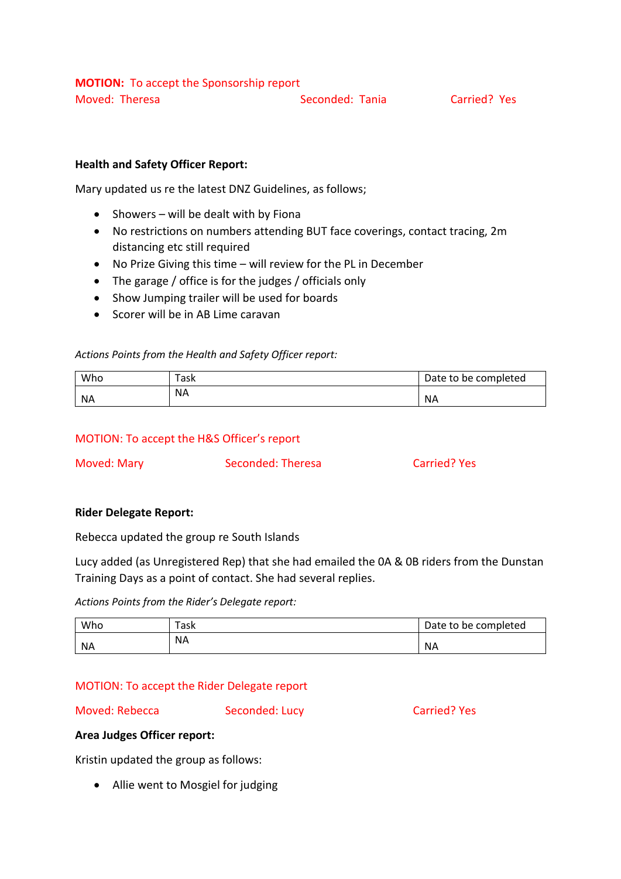# **Health and Safety Officer Report:**

Mary updated us re the latest DNZ Guidelines, as follows;

- $\bullet$  Showers will be dealt with by Fiona
- No restrictions on numbers attending BUT face coverings, contact tracing, 2m distancing etc still required
- No Prize Giving this time will review for the PL in December
- The garage / office is for the judges / officials only
- Show Jumping trailer will be used for boards
- Scorer will be in AB Lime caravan

#### *Actions Points from the Health and Safety Officer report:*

| Who       | Task      | Date to be completed |
|-----------|-----------|----------------------|
| <b>NA</b> | <b>NA</b> | <b>NA</b>            |

#### MOTION: To accept the H&S Officer's report

Moved: Mary Seconded: Theresa Carried? Yes

#### **Rider Delegate Report:**

Rebecca updated the group re South Islands

Lucy added (as Unregistered Rep) that she had emailed the 0A & 0B riders from the Dunstan Training Days as a point of contact. She had several replies.

#### *Actions Points from the Rider's Delegate report:*

| Who       | ask"      | Date to be completed |
|-----------|-----------|----------------------|
| <b>NA</b> | <b>NA</b> | <b>NA</b>            |

# MOTION: To accept the Rider Delegate report

#### Moved: Rebecca Seconded: Lucy Carried? Yes

# **Area Judges Officer report:**

Kristin updated the group as follows:

Allie went to Mosgiel for judging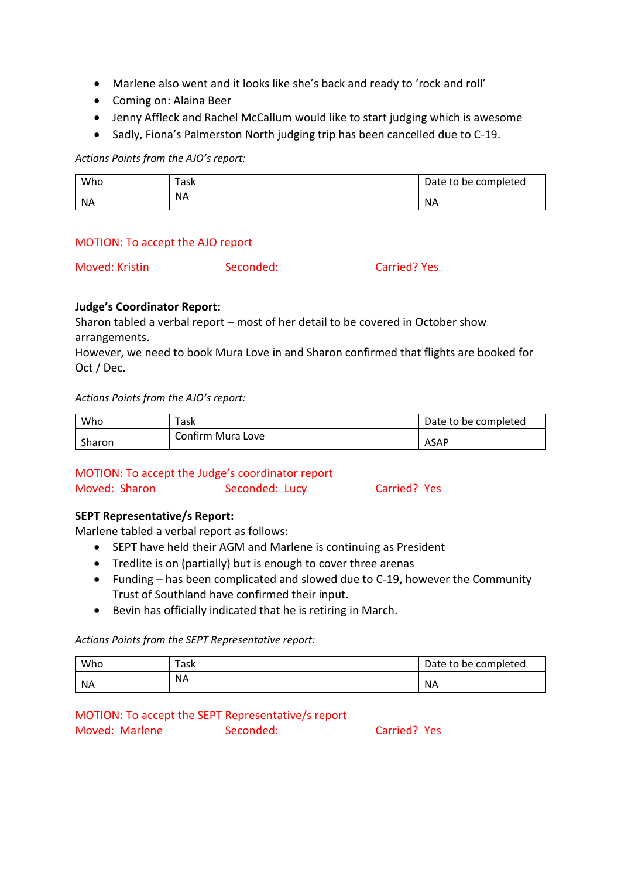- Marlene also went and it looks like she's back and ready to 'rock and roll'
- Coming on: Alaina Beer
- Jenny Affleck and Rachel McCallum would like to start judging which is awesome
- Sadly, Fiona's Palmerston North judging trip has been cancelled due to C-19.

*Actions Points from the AJO's report:*

| Who       | Task      | Date to be completed |
|-----------|-----------|----------------------|
| <b>NA</b> | <b>NA</b> | <b>NA</b>            |

#### MOTION: To accept the AJO report

Moved: Kristin Seconded: Carried? Yes

# **Judge's Coordinator Report:**

Sharon tabled a verbal report – most of her detail to be covered in October show arrangements.

However, we need to book Mura Love in and Sharon confirmed that flights are booked for Oct / Dec.

*Actions Points from the AJO's report:*

| Who    | Task              | Date to be completed |
|--------|-------------------|----------------------|
| Sharon | Confirm Mura Love | ASAP                 |

# MOTION: To accept the Judge's coordinator report Moved: Sharon Seconded: Lucy Carried? Yes

# **SEPT Representative/s Report:**

Marlene tabled a verbal report as follows:

- SEPT have held their AGM and Marlene is continuing as President
- Tredlite is on (partially) but is enough to cover three arenas
- Funding has been complicated and slowed due to C-19, however the Community Trust of Southland have confirmed their input.
- Bevin has officially indicated that he is retiring in March.

*Actions Points from the SEPT Representative report:*

| Who       | Task      | Date to be completed |
|-----------|-----------|----------------------|
| <b>NA</b> | <b>NA</b> | <b>NA</b>            |

#### MOTION: To accept the SEPT Representative/s report Moved: Marlene Seconded: Carried? Yes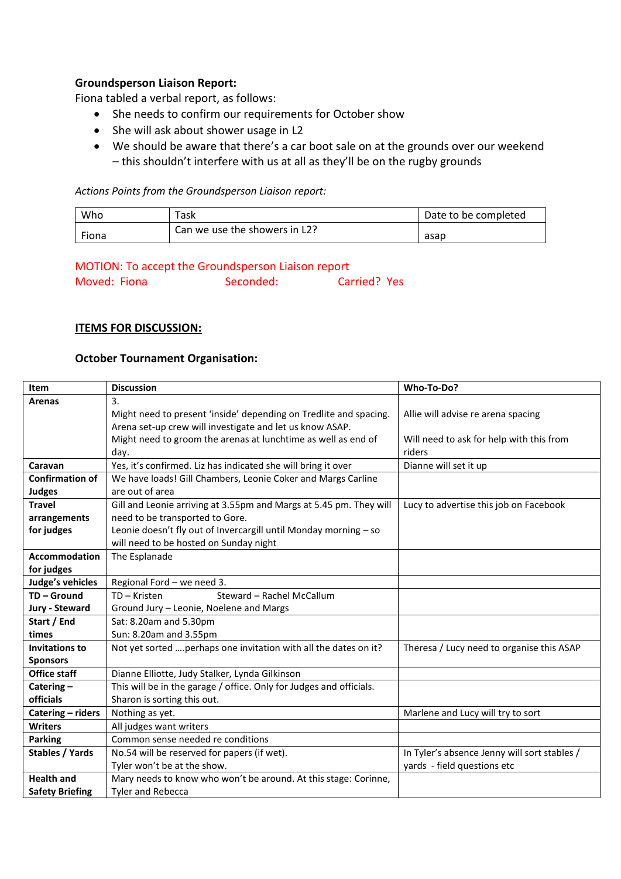# **Groundsperson Liaison Report:**

Fiona tabled a verbal report, as follows:

- She needs to confirm our requirements for October show
- She will ask about shower usage in L2
- We should be aware that there's a car boot sale on at the grounds over our weekend – this shouldn't interfere with us at all as they'll be on the rugby grounds

*Actions Points from the Groundsperson Liaison report:*

| Who   | ™ask                          | Date to be completed |
|-------|-------------------------------|----------------------|
| Fiona | Can we use the showers in L2? | asap                 |

MOTION: To accept the Groundsperson Liaison report Moved: Fiona Seconded: Carried? Yes

#### **ITEMS FOR DISCUSSION:**

#### **October Tournament Organisation:**

| Item                   | <b>Discussion</b>                                                   | Who-To-Do?                                   |
|------------------------|---------------------------------------------------------------------|----------------------------------------------|
| <b>Arenas</b>          | 3.                                                                  |                                              |
|                        | Might need to present 'inside' depending on Tredlite and spacing.   | Allie will advise re arena spacing           |
|                        | Arena set-up crew will investigate and let us know ASAP.            |                                              |
|                        | Might need to groom the arenas at lunchtime as well as end of       | Will need to ask for help with this from     |
|                        | day.                                                                | riders                                       |
| Caravan                | Yes, it's confirmed. Liz has indicated she will bring it over       | Dianne will set it up                        |
| <b>Confirmation of</b> | We have loads! Gill Chambers, Leonie Coker and Margs Carline        |                                              |
| <b>Judges</b>          | are out of area                                                     |                                              |
| <b>Travel</b>          | Gill and Leonie arriving at 3.55pm and Margs at 5.45 pm. They will  | Lucy to advertise this job on Facebook       |
| arrangements           | need to be transported to Gore.                                     |                                              |
| for judges             | Leonie doesn't fly out of Invercargill until Monday morning - so    |                                              |
|                        | will need to be hosted on Sunday night                              |                                              |
| <b>Accommodation</b>   | The Esplanade                                                       |                                              |
| for judges             |                                                                     |                                              |
| Judge's vehicles       | Regional Ford - we need 3.                                          |                                              |
| TD-Ground              | TD-Kristen<br>Steward - Rachel McCallum                             |                                              |
| Jury - Steward         | Ground Jury - Leonie, Noelene and Margs                             |                                              |
| Start / End            | Sat: 8.20am and 5.30pm                                              |                                              |
| times                  | Sun: 8.20am and 3.55pm                                              |                                              |
| <b>Invitations to</b>  | Not yet sorted  perhaps one invitation with all the dates on it?    | Theresa / Lucy need to organise this ASAP    |
| <b>Sponsors</b>        |                                                                     |                                              |
| <b>Office staff</b>    | Dianne Elliotte, Judy Stalker, Lynda Gilkinson                      |                                              |
| Catering-              | This will be in the garage / office. Only for Judges and officials. |                                              |
| officials              | Sharon is sorting this out.                                         |                                              |
| Catering - riders      | Nothing as yet.                                                     | Marlene and Lucy will try to sort            |
| <b>Writers</b>         | All judges want writers                                             |                                              |
| <b>Parking</b>         | Common sense needed re conditions                                   |                                              |
| <b>Stables / Yards</b> | No.54 will be reserved for papers (if wet).                         | In Tyler's absence Jenny will sort stables / |
|                        | Tyler won't be at the show.                                         | yards - field questions etc                  |
| <b>Health and</b>      | Mary needs to know who won't be around. At this stage: Corinne,     |                                              |
| <b>Safety Briefing</b> | <b>Tyler and Rebecca</b>                                            |                                              |